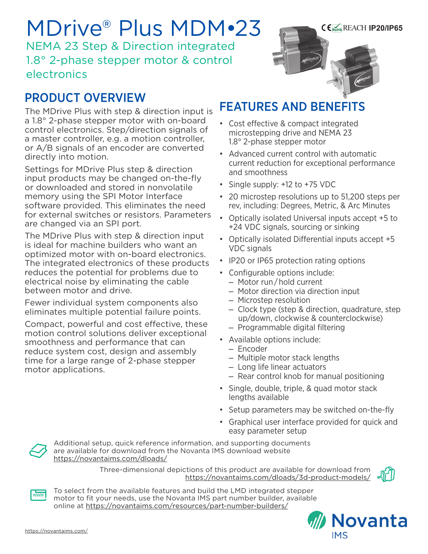# MDrive® Plus MDM•23

NEMA 23 Step & Direction integrated 1.8° 2-phase stepper motor & control electronics

## PRODUCT OVERVIEW

The MDrive Plus with step & direction input is a 1.8° 2-phase stepper motor with on-board control electronics. Step/direction signals of a master controller, e.g. a motion controller, or A/B signals of an encoder are converted directly into motion.

Settings for MDrive Plus step & direction input products may be changed on-the-fly or downloaded and stored in nonvolatile memory using the SPI Motor Interface software provided. This eliminates the need for external switches or resistors. Parameters are changed via an SPI port.

The MDrive Plus with step & direction input is ideal for machine builders who want an optimized motor with on-board electronics. The integrated electronics of these products reduces the potential for problems due to electrical noise by eliminating the cable between motor and drive.

Fewer individual system components also eliminates multiple potential failure points.

Compact, powerful and cost effective, these motion control solutions deliver exceptional smoothness and performance that can reduce system cost, design and assembly time for a large range of 2-phase stepper motor applications.



- Cost effective & compact integrated microstepping drive and NEMA 23 1.8° 2-phase stepper motor
- Advanced current control with automatic current reduction for exceptional performance and smoothness

REACH **IP20/IP65**

- Single supply: +12 to +75 VDC
- 20 microstep resolutions up to 51,200 steps per rev, including: Degrees, Metric, & Arc Minutes
- Optically isolated Universal inputs accept +5 to +24 VDC signals, sourcing or sinking
- Optically isolated Differential inputs accept +5 VDC signals
- IP20 or IP65 protection rating options
- Configurable options include:
	- Motor run / hold current
	- Motor direction via direction input
	- Microstep resolution
	- Clock type (step & direction, quadrature, step up/down, clockwise & counterclockwise)
	- Programmable digital filtering
- Available options include:
	- Encoder
	- Multiple motor stack lengths
	- Long life linear actuators
	- Rear control knob for manual positioning
- Single, double, triple, & quad motor stack lengths available
- Setup parameters may be switched on-the-fly
- Graphical user interface provided for quick and easy parameter setup



Additional setup, quick reference information, and supporting documents are available for download from the Novanta IMS download website https://novantaims.com/dloads/

> Three-dimensional depictions of this product are available for download from <https://novantaims.com/dloads/3d-product-models/>





To select from the available features and build the LMD integrated stepper motor to fit your needs, use the Novanta IMS part number builder, available online at <https://novantaims.com/resources/part-number-builders/>